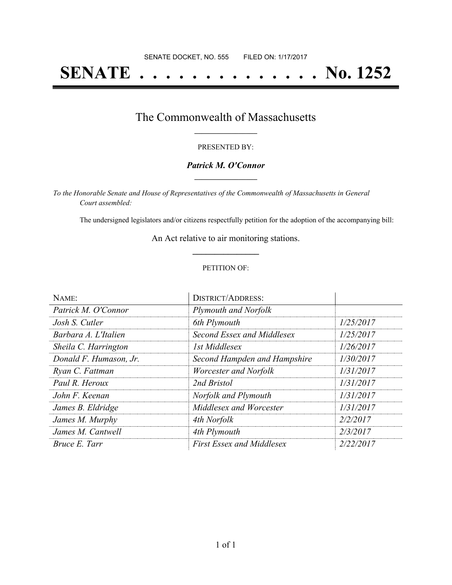# **SENATE . . . . . . . . . . . . . . No. 1252**

### The Commonwealth of Massachusetts **\_\_\_\_\_\_\_\_\_\_\_\_\_\_\_\_\_**

#### PRESENTED BY:

#### *Patrick M. O'Connor* **\_\_\_\_\_\_\_\_\_\_\_\_\_\_\_\_\_**

*To the Honorable Senate and House of Representatives of the Commonwealth of Massachusetts in General Court assembled:*

The undersigned legislators and/or citizens respectfully petition for the adoption of the accompanying bill:

An Act relative to air monitoring stations. **\_\_\_\_\_\_\_\_\_\_\_\_\_\_\_**

#### PETITION OF:

| NAME:                  | <b>DISTRICT/ADDRESS:</b>         |           |
|------------------------|----------------------------------|-----------|
| Patrick M. O'Connor    | Plymouth and Norfolk             |           |
| Josh S. Cutler         | 6th Plymouth                     | 1/25/2017 |
| Barbara A. L'Italien   | Second Essex and Middlesex       | 1/25/2017 |
| Sheila C. Harrington   | 1st Middlesex                    | 1/26/2017 |
| Donald F. Humason, Jr. | Second Hampden and Hampshire     | 1/30/2017 |
| Ryan C. Fattman        | Worcester and Norfolk            | 1/31/2017 |
| Paul R. Heroux         | 2nd Bristol                      | 1/31/2017 |
| John F. Keenan         | Norfolk and Plymouth             | 1/31/2017 |
| James B. Eldridge      | Middlesex and Worcester          | 1/31/2017 |
| James M. Murphy        | 4th Norfolk                      | 2/2/2017  |
| James M. Cantwell      | 4th Plymouth                     | 2/3/2017  |
| Bruce E. Tarr          | <b>First Essex and Middlesex</b> | 2/22/2017 |